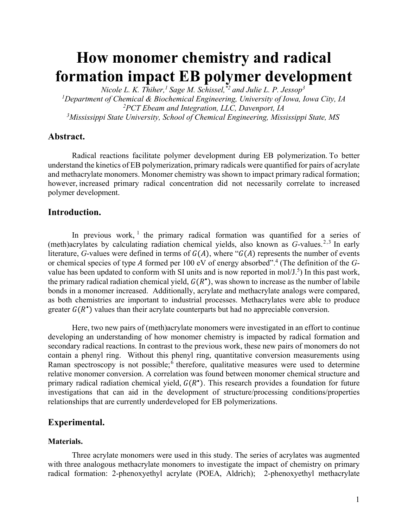# **How monomer chemistry and radical formation impact EB polymer development**

*Nicole L. K. Thiher,1 Sage M. Schissel,\*2 and Julie L. P. Jessop3 1 Department of Chemical & Biochemical Engineering, University of Iowa, Iowa City, IA 2 PCT Ebeam and Integration, LLC, Davenport, IA 3 Mississippi State University, School of Chemical Engineering, Mississippi State, MS*

# **Abstract.**

Radical reactions facilitate polymer development during EB polymerization. To better understand the kinetics of EB polymerization, primary radicals were quantified for pairs of acrylate and methacrylate monomers. Monomer chemistry was shown to impact primary radical formation; however, increased primary radical concentration did not necessarily correlate to increased polymer development.  

# **Introduction.**

In previous work, <sup>1</sup> the primary radical formation was quantified for a series of (meth)acrylates by calculating radiation chemical yields, also known as *G*-values.<sup>2,3</sup> In early literature, *G*-values were defined in terms of  $G(A)$ , where " $G(A)$  represents the number of events or chemical species of type A formed per 100 eV of energy absorbed".<sup>4</sup> (The definition of the Gvalue has been updated to conform with SI units and is now reported in mol/ $J^5$ ) In this past work, the primary radical radiation chemical yield,  $G(R^{\bullet})$ , was shown to increase as the number of labile bonds in a monomer increased. Additionally, acrylate and methacrylate analogs were compared, as both chemistries are important to industrial processes. Methacrylates were able to produce greater  $G(R^*)$  values than their acrylate counterparts but had no appreciable conversion.

Here, two new pairs of (meth)acrylate monomers were investigated in an effort to continue developing an understanding of how monomer chemistry is impacted by radical formation and secondary radical reactions. In contrast to the previous work, these new pairs of monomers do not contain a phenyl ring. Without this phenyl ring, quantitative conversion measurements using Raman spectroscopy is not possible;<sup>6</sup> therefore, qualitative measures were used to determine relative monomer conversion. A correlation was found between monomer chemical structure and primary radical radiation chemical yield,  $G(R^{\bullet})$ . This research provides a foundation for future investigations that can aid in the development of structure/processing conditions/properties relationships that are currently underdeveloped for EB polymerizations.

# **Experimental.**

# **Materials.**

Three acrylate monomers were used in this study. The series of acrylates was augmented with three analogous methacrylate monomers to investigate the impact of chemistry on primary radical formation: 2-phenoxyethyl acrylate (POEA, Aldrich); 2-phenoxyethyl methacrylate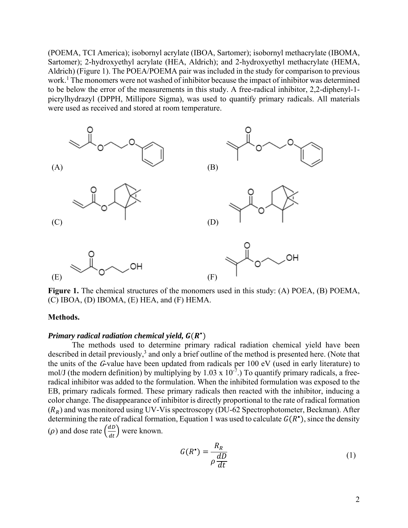(POEMA, TCI America); isobornyl acrylate (IBOA, Sartomer); isobornyl methacrylate (IBOMA, Sartomer); 2-hydroxyethyl acrylate (HEA, Aldrich); and 2-hydroxyethyl methacrylate (HEMA, Aldrich) (Figure 1). The POEA/POEMA pair was included in the study for comparison to previous work.<sup>1</sup> The monomers were not washed of inhibitor because the impact of inhibitor was determined to be below the error of the measurements in this study. A free-radical inhibitor, 2,2-diphenyl-1 picrylhydrazyl (DPPH, Millipore Sigma), was used to quantify primary radicals. All materials were used as received and stored at room temperature.



**Figure 1.** The chemical structures of the monomers used in this study: (A) POEA, (B) POEMA, (C) IBOA, (D) IBOMA, (E) HEA, and (F) HEMA.

#### **Methods.**

# *Primary radical radiation chemical yield,*  $G(R^*)$

The methods used to determine primary radical radiation chemical yield have been described in detail previously,<sup>3</sup> and only a brief outline of the method is presented here. (Note that the units of the G-value have been updated from radicals per 100 eV (used in early literature) to mol/J (the modern definition) by multiplying by 1.03 x  $10^{-7}$ .) To quantify primary radicals, a freeradical inhibitor was added to the formulation. When the inhibited formulation was exposed to the EB, primary radicals formed. These primary radicals then reacted with the inhibitor, inducing a color change. The disappearance of inhibitor is directly proportional to the rate of radical formation  $(R_R)$  and was monitored using UV-Vis spectroscopy (DU-62 Spectrophotometer, Beckman). After determining the rate of radical formation, Equation 1 was used to calculate  $G(R^{\bullet})$ , since the density ( $\rho$ ) and dose rate  $\left(\frac{dD}{dt}\right)$  were known.

$$
G(R^{\bullet}) = \frac{R_R}{\rho \frac{dD}{dt}} \tag{1}
$$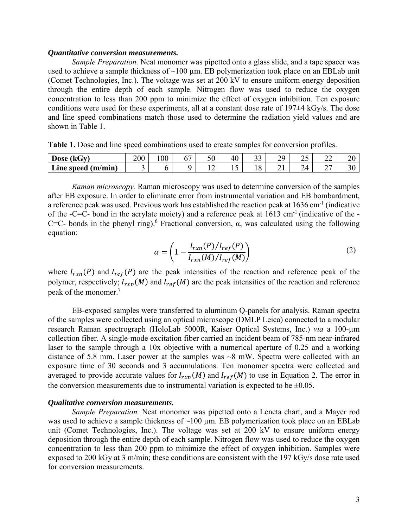#### *Quantitative conversion measurements.*

*Sample Preparation.* Neat monomer was pipetted onto a glass slide, and a tape spacer was used to achieve a sample thickness of  $\sim$ 100 µm. EB polymerization took place on an EBLab unit (Comet Technologies, Inc.). The voltage was set at 200 kV to ensure uniform energy deposition through the entire depth of each sample. Nitrogen flow was used to reduce the oxygen concentration to less than 200 ppm to minimize the effect of oxygen inhibition. Ten exposure conditions were used for these experiments, all at a constant dose rate of 197±4 kGy/s. The dose and line speed combinations match those used to determine the radiation yield values and are shown in Table 1.

**Table 1.** Dose and line speed combinations used to create samples for conversion profiles.

| $\sim$<br><b>Dose</b><br>$\mathbf{v}$<br>(KGV | 200 | $\Omega$<br>vu | - II<br>ν | 50                             | 40       | $\sim$<br>ں ر | 70<br>∸ | $\sim$ $\sim$<br>∼ | ^^<br>∸     | ້  |
|-----------------------------------------------|-----|----------------|-----------|--------------------------------|----------|---------------|---------|--------------------|-------------|----|
| (m/min)<br>Line speed                         |     |                |           | $\overline{\phantom{a}}$<br>∸∸ | -<br>∸ ∸ | ◡             | ∽       | 24                 | $\sim$<br>∼ | υc |

*Raman microscopy.* Raman microscopy was used to determine conversion of the samples after EB exposure. In order to eliminate error from instrumental variation and EB bombardment, a reference peak was used. Previous work has established the reaction peak at  $1636 \text{ cm}^{-1}$  (indicative of the -C=C- bond in the acrylate moiety) and a reference peak at  $1613 \text{ cm}^{-1}$  (indicative of the -C=C- bonds in the phenyl ring).<sup>6</sup> Fractional conversion,  $\alpha$ , was calculated using the following equation:

$$
\alpha = \left(1 - \frac{I_{rxn}(P)/I_{ref}(P)}{I_{rxn}(M)/I_{ref}(M)}\right) \tag{2}
$$

where  $I_{rxn}(P)$  and  $I_{ref}(P)$  are the peak intensities of the reaction and reference peak of the polymer, respectively;  $I_{rxn}(M)$  and  $I_{ref}(M)$  are the peak intensities of the reaction and reference peak of the monomer.7

 EB-exposed samples were transferred to aluminum Q-panels for analysis. Raman spectra of the samples were collected using an optical microscope (DMLP Leica) connected to a modular research Raman spectrograph (HoloLab 5000R, Kaiser Optical Systems, Inc.) *via* a 100-µm collection fiber. A single-mode excitation fiber carried an incident beam of 785-nm near-infrared laser to the sample through a 10x objective with a numerical aperture of 0.25 and a working distance of 5.8 mm. Laser power at the samples was ~8 mW. Spectra were collected with an exposure time of 30 seconds and 3 accumulations. Ten monomer spectra were collected and averaged to provide accurate values for  $I_{rxn}(M)$  and  $I_{ref}(M)$  to use in Equation 2. The error in the conversion measurements due to instrumental variation is expected to be  $\pm 0.05$ .

#### *Qualitative conversion measurements.*

*Sample Preparation.* Neat monomer was pipetted onto a Leneta chart, and a Mayer rod was used to achieve a sample thickness of  $\sim$ 100 µm. EB polymerization took place on an EBLab unit (Comet Technologies, Inc.). The voltage was set at 200 kV to ensure uniform energy deposition through the entire depth of each sample. Nitrogen flow was used to reduce the oxygen concentration to less than 200 ppm to minimize the effect of oxygen inhibition. Samples were exposed to 200 kGy at 3 m/min; these conditions are consistent with the 197 kGy/s dose rate used for conversion measurements.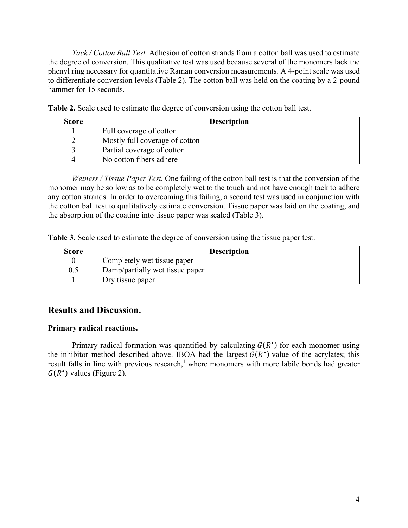*Tack / Cotton Ball Test.* Adhesion of cotton strands from a cotton ball was used to estimate the degree of conversion. This qualitative test was used because several of the monomers lack the phenyl ring necessary for quantitative Raman conversion measurements. A 4-point scale was used to differentiate conversion levels (Table 2). The cotton ball was held on the coating by a 2-pound hammer for 15 seconds.

| <b>Score</b> | <b>Description</b>             |
|--------------|--------------------------------|
|              | Full coverage of cotton        |
|              | Mostly full coverage of cotton |
|              | Partial coverage of cotton     |
|              | No cotton fibers adhere        |

**Table 2.** Scale used to estimate the degree of conversion using the cotton ball test.

*Wetness / Tissue Paper Test.* One failing of the cotton ball test is that the conversion of the monomer may be so low as to be completely wet to the touch and not have enough tack to adhere any cotton strands. In order to overcoming this failing, a second test was used in conjunction with the cotton ball test to qualitatively estimate conversion. Tissue paper was laid on the coating, and the absorption of the coating into tissue paper was scaled (Table 3).

**Table 3.** Scale used to estimate the degree of conversion using the tissue paper test.

| Score | <b>Description</b>              |
|-------|---------------------------------|
|       | Completely wet tissue paper     |
| 0.5   | Damp/partially wet tissue paper |
|       | Dry tissue paper                |

# **Results and Discussion.**

### **Primary radical reactions.**

Primary radical formation was quantified by calculating  $G(R^{\bullet})$  for each monomer using the inhibitor method described above. IBOA had the largest  $G(R^*)$  value of the acrylates; this result falls in line with previous research,<sup>1</sup> where monomers with more labile bonds had greater  $G(R^{\bullet})$  values (Figure 2).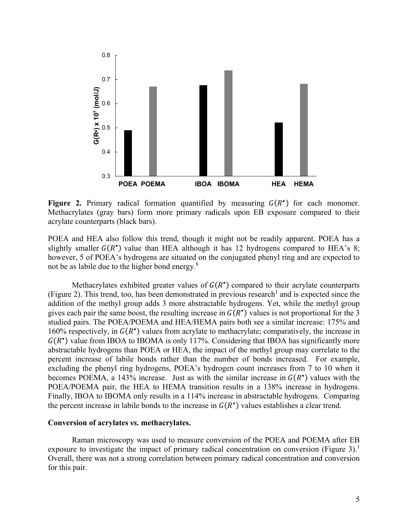

**Figure 2.** Primary radical formation quantified by measuring  $G(R^*)$  for each monomer. Methacrylates (gray bars) form more primary radicals upon EB exposure compared to their acrylate counterparts (black bars).

POEA and HEA also follow this trend, though it might not be readily apparent. POEA has a slightly smaller  $G(R^*)$  value than HEA although it has 12 hydrogens compared to HEA's 8; however, 5 of POEA's hydrogens are situated on the conjugated phenyl ring and are expected to not be as labile due to the higher bond energy. $8$ 

Methacrylates exhibited greater values of  $G(R^{\bullet})$  compared to their acrylate counterparts (Figure 2). This trend, too, has been demonstrated in previous research<sup>1</sup> and is expected since the addition of the methyl group adds 3 more abstractable hydrogens. Yet, while the methyl group gives each pair the same boost, the resulting increase in  $G(R^{\bullet})$  values is not proportional for the 3 studied pairs. The POEA/POEMA and HEA/HEMA pairs both see a similar increase: 175% and 160% respectively, in  $G(R^*)$  values from acrylate to methacrylate; comparatively, the increase in  $G(R<sup>*</sup>)$  value from IBOA to IBOMA is only 117%. Considering that IBOA has significantly more abstractable hydrogens than POEA or HEA, the impact of the methyl group may correlate to the percent increase of labile bonds rather than the number of bonds increased. For example, excluding the phenyl ring hydrogens, POEA's hydrogen count increases from 7 to 10 when it becomes POEMA, a 143% increase. Just as with the similar increase in  $G(R<sup>o</sup>)$  values with the POEA/POEMA pair, the HEA to HEMA transition results in a 138% increase in hydrogens. Finally, IBOA to IBOMA only results in a 114% increase in abstractable hydrogens. Comparing the percent increase in labile bonds to the increase in  $G(R^*)$  values establishes a clear trend.

#### **Conversion of acrylates** *vs.* **methacrylates.**

Raman microscopy was used to measure conversion of the POEA and POEMA after EB exposure to investigate the impact of primary radical concentration on conversion (Figure 3).<sup>1</sup> Overall, there was not a strong correlation between primary radical concentration and conversion for this pair.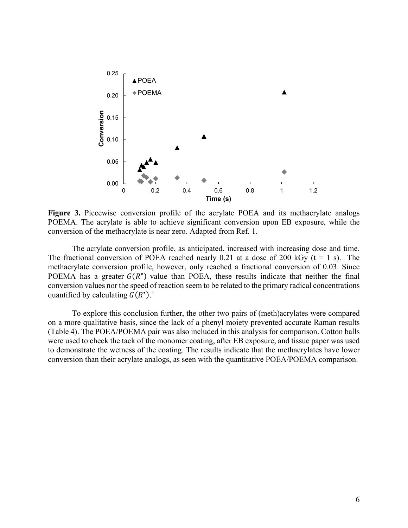

Figure 3. Piecewise conversion profile of the acrylate POEA and its methacrylate analogs POEMA. The acrylate is able to achieve significant conversion upon EB exposure, while the conversion of the methacrylate is near zero. Adapted from Ref. 1.

The acrylate conversion profile, as anticipated, increased with increasing dose and time. The fractional conversion of POEA reached nearly 0.21 at a dose of 200 kGy  $(t = 1 s)$ . The methacrylate conversion profile, however, only reached a fractional conversion of 0.03. Since POEMA has a greater  $G(R^{\bullet})$  value than POEA, these results indicate that neither the final conversion values nor the speed of reaction seem to be related to the primary radical concentrations quantified by calculating  $G(R^{\bullet})$ .<sup>1</sup>

To explore this conclusion further, the other two pairs of (meth)acrylates were compared on a more qualitative basis, since the lack of a phenyl moiety prevented accurate Raman results (Table 4). The POEA/POEMA pair was also included in this analysis for comparison. Cotton balls were used to check the tack of the monomer coating, after EB exposure, and tissue paper was used to demonstrate the wetness of the coating. The results indicate that the methacrylates have lower conversion than their acrylate analogs, as seen with the quantitative POEA/POEMA comparison.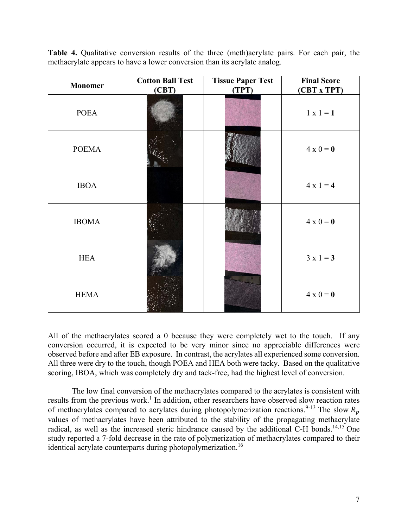**Table 4.** Qualitative conversion results of the three (meth)acrylate pairs. For each pair, the methacrylate appears to have a lower conversion than its acrylate analog.

| <b>Monomer</b> | <b>Cotton Ball Test</b><br>(CBT) | <b>Tissue Paper Test</b><br>(TPT) | <b>Final Score</b><br>(CBT x TPT) |
|----------------|----------------------------------|-----------------------------------|-----------------------------------|
| <b>POEA</b>    |                                  |                                   | $1 x 1 = 1$                       |
| <b>POEMA</b>   |                                  |                                   | $4 \times 0 = 0$                  |
| <b>IBOA</b>    |                                  |                                   | $4 \times 1 = 4$                  |
| <b>IBOMA</b>   |                                  |                                   | $4 \times 0 = 0$                  |
| <b>HEA</b>     |                                  |                                   | $3x1=3$                           |
| <b>HEMA</b>    |                                  |                                   | $4 \times 0 = 0$                  |

All of the methacrylates scored a 0 because they were completely wet to the touch. If any conversion occurred, it is expected to be very minor since no appreciable differences were observed before and after EB exposure. In contrast, the acrylates all experienced some conversion. All three were dry to the touch, though POEA and HEA both were tacky. Based on the qualitative scoring, IBOA, which was completely dry and tack-free, had the highest level of conversion.

The low final conversion of the methacrylates compared to the acrylates is consistent with results from the previous work.<sup>1</sup> In addition, other researchers have observed slow reaction rates of methacrylates compared to acrylates during photopolymerization reactions.<sup>9-13</sup> The slow  $R_n$ values of methacrylates have been attributed to the stability of the propagating methacrylate radical, as well as the increased steric hindrance caused by the additional C-H bonds.<sup>14,15</sup> One study reported a 7-fold decrease in the rate of polymerization of methacrylates compared to their identical acrylate counterparts during photopolymerization.<sup>16</sup>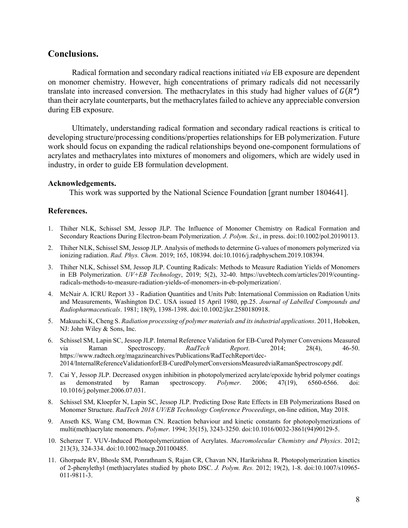## **Conclusions.**

Radical formation and secondary radical reactions initiated *via* EB exposure are dependent on monomer chemistry. However, high concentrations of primary radicals did not necessarily translate into increased conversion. The methacrylates in this study had higher values of  $G(R^{\bullet})$ than their acrylate counterparts, but the methacrylates failed to achieve any appreciable conversion during EB exposure.

Ultimately, understanding radical formation and secondary radical reactions is critical to developing structure/processing conditions/properties relationships for EB polymerization. Future work should focus on expanding the radical relationships beyond one-component formulations of acrylates and methacrylates into mixtures of monomers and oligomers, which are widely used in industry, in order to guide EB formulation development.

#### **Acknowledgements.**

This work was supported by the National Science Foundation [grant number 1804641].

#### **References.**

- 1. Thiher NLK, Schissel SM, Jessop JLP. The Influence of Monomer Chemistry on Radical Formation and Secondary Reactions During Electron-beam Polymerization. *J. Polym. Sci.*, in press. doi:10.1002/pol.20190113.
- 2. Thiher NLK, Schissel SM, Jessop JLP. Analysis of methods to determine G-values of monomers polymerized via ionizing radiation. *Rad. Phys. Chem.* 2019; 165, 108394. doi:10.1016/j.radphyschem.2019.108394.
- 3. Thiher NLK, Schissel SM, Jessop JLP. Counting Radicals: Methods to Measure Radiation Yields of Monomers in EB Polymerization. *UV+EB Technology*, 2019; 5(2), 32-40. https://uvebtech.com/articles/2019/countingradicals-methods-to-measure-radiation-yields-of-monomers-in-eb-polymerization/.
- 4. McNair A. ICRU Report 33 Radiation Quantities and Units Pub: International Commission on Radiation Units and Measurements, Washington D.C. USA issued 15 April 1980, pp.25. *Journal of Labelled Compounds and Radiopharmaceuticals*. 1981; 18(9), 1398-1398. doi:10.1002/jlcr.2580180918.
- 5. Makuuchi K, Cheng S. *Radiation processing of polymer materials and its industrial applications*. 2011, Hoboken, NJ: John Wiley & Sons, Inc.
- 6. Schissel SM, Lapin SC, Jessop JLP. Internal Reference Validation for EB-Cured Polymer Conversions Measured via Raman Spectroscopy. *RadTech Report*. 2014; 28(4), 46-50. https://www.radtech.org/magazinearchives/Publications/RadTechReport/dec-2014/InternalReferenceValidationforEB-CuredPolymerConversionsMeasuredviaRamanSpectroscopy.pdf.
- 7. Cai Y, Jessop JLP. Decreased oxygen inhibition in photopolymerized acrylate/epoxide hybrid polymer coatings as demonstrated by Raman spectroscopy. *Polymer*. 2006; 47(19), 6560-6566. doi: 10.1016/j.polymer.2006.07.031.
- 8. Schissel SM, Kloepfer N, Lapin SC, Jessop JLP. Predicting Dose Rate Effects in EB Polymerizations Based on Monomer Structure. *RadTech 2018 UV/EB Technology Conference Proceedings*, on-line edition, May 2018.
- 9. Anseth KS, Wang CM, Bowman CN. Reaction behaviour and kinetic constants for photopolymerizations of multi(meth)acrylate monomers. *Polymer*. 1994; 35(15), 3243-3250. doi:10.1016/0032-3861(94)90129-5.
- 10. Scherzer T. VUV-Induced Photopolymerization of Acrylates. *Macromolecular Chemistry and Physics*. 2012; 213(3), 324-334. doi:10.1002/macp.201100485.
- 11. Ghorpade RV, Bhosle SM, Ponrathnam S, Rajan CR, Chavan NN, Harikrishna R. Photopolymerization kinetics of 2-phenylethyl (meth)acrylates studied by photo DSC. *J. Polym. Res.* 2012; 19(2), 1-8. doi:10.1007/s10965- 011-9811-3.